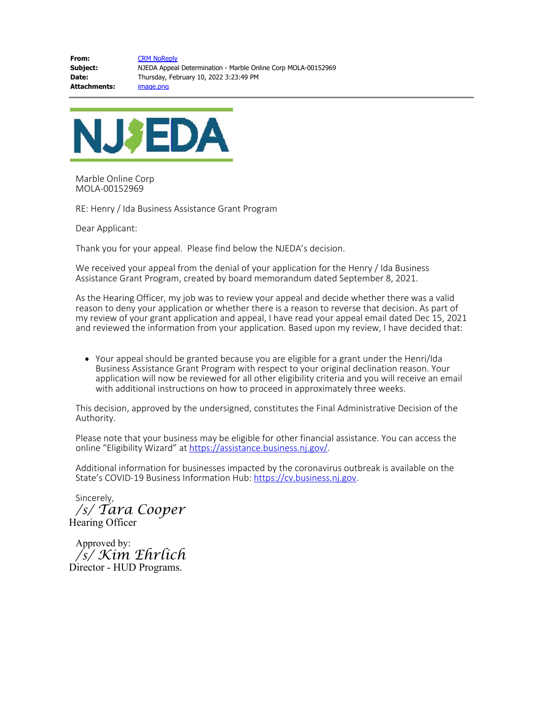**From:** [CRM NoReply](mailto:crmnoreply@njeda.com) **Subject:** NJEDA Appeal Determination - Marble Online Corp MOLA-00152969 **Date:** Thursday, February 10, 2022 3:23:49 PM **Attachments:** image.png



Marble Online Corp MOLA-00152969

RE: Henry / Ida Business Assistance Grant Program

Dear Applicant:

Thank you for your appeal. Please find below the NJEDA's decision.

We received your appeal from the denial of your application for the Henry / Ida Business Assistance Grant Program, created by board memorandum dated September 8, 2021.

As the Hearing Officer, my job was to review your appeal and decide whether there was a valid reason to deny your application or whether there is a reason to reverse that decision. As part of my review of your grant application and appeal, I have read your appeal email dated Dec 15, 2021 and reviewed the information from your application. Based upon my review, I have decided that:

Your appeal should be granted because you are eligible for a grant under the Henri/Ida Business Assistance Grant Program with respect to your original declination reason. Your application will now be reviewed for all other eligibility criteria and you will receive an email with additional instructions on how to proceed in approximately three weeks.

This decision, approved by the undersigned, constitutes the Final Administrative Decision of the Authority.

Please note that your business may be eligible for other financial assistance. You can access the online "Eligibility Wizard" at [https://assistance.business.nj.gov/.](https://gcc02.safelinks.protection.outlook.com/?url=https%3A%2F%2Fu20353371.ct.sendgrid.net%2Fls%2Fclick%3Fupn%3DCF4yGf7O0pM8R8hKeStCqlRdrDmx2x-2BZCaAf-2B3-2B-2FHYFVV9m48r9Uj84ECWjKVyVD2g1v_DqWURb2iW2YKion-2BCa448uLOkyt54f58TMBbgFEfU-2FGSvb7tztl3FI0C-2FVjz8quzSwc7cGpz-2BDHbyeLxD8Q4jhh8e4uMFLgVLIg9099W-2FmAkqHW2aPUvqbO2ByH4CswvJtdhN9CdebJxq3i6K2bkiU5AI-2FM-2FPuEYe7Vr-2FOPMRRW-2BY5-2BYCzCaFgPBJzcfGn846pzRXAJqMj4F5M5vq8QeOQ-3D-3D&data=04%7C01%7Ccstout%40njeda.com%7C31bdb27dc8694001483108d9ecd33c3e%7Cdef9b6fa35984b48bb720bc384032ea3%7C0%7C0%7C637801214286635695%7CUnknown%7CTWFpbGZsb3d8eyJWIjoiMC4wLjAwMDAiLCJQIjoiV2luMzIiLCJBTiI6Ik1haWwiLCJXVCI6Mn0%3D%7C3000&sdata=SXkttvduL%2F04Xogtud%2BbpLDgPjrWpDtM2OnT0vl4NjM%3D&reserved=0)

Additional information for businesses impacted by the coronavirus outbreak is available on the State's COVID-19 Business Information Hub: [https://cv.business.nj.gov.](https://gcc02.safelinks.protection.outlook.com/?url=https%3A%2F%2Fu20353371.ct.sendgrid.net%2Fls%2Fclick%3Fupn%3DCF4yGf7O0pM8R8hKeStCqo4YhhtYA3Y4oeVRgl-2BiATJFgfEfO1MzGbVPMloyZqZ3U-NU_DqWURb2iW2YKion-2BCa448uLOkyt54f58TMBbgFEfU-2FGSvb7tztl3FI0C-2FVjz8quzjFgBCAoM-2FxIyLiLEHNZgNhSBc7K8u5fvQiNq9VM1MnTsBLNDt9CZc2rQxN8etMjs5cpkGenehs8SXR3hgYqiUBrlbso9AGYNWQz5h0eqpmPE-2FvcIJRuoY4zwtp7B6Fu3l0EeKedqj1CPt2l-2Byy8HPQ-3D-3D&data=04%7C01%7Ccstout%40njeda.com%7C31bdb27dc8694001483108d9ecd33c3e%7Cdef9b6fa35984b48bb720bc384032ea3%7C0%7C0%7C637801214286635695%7CUnknown%7CTWFpbGZsb3d8eyJWIjoiMC4wLjAwMDAiLCJQIjoiV2luMzIiLCJBTiI6Ik1haWwiLCJXVCI6Mn0%3D%7C3000&sdata=xMcA3VffkO8uxMpakED%2FHKDC7F2krIdzonvz3dcW7uY%3D&reserved=0)

Sincerely, */s/ Tara Cooper* Hearing Officer

Approved by: */s/ Kim Ehrlich* Director - HUD Programs.